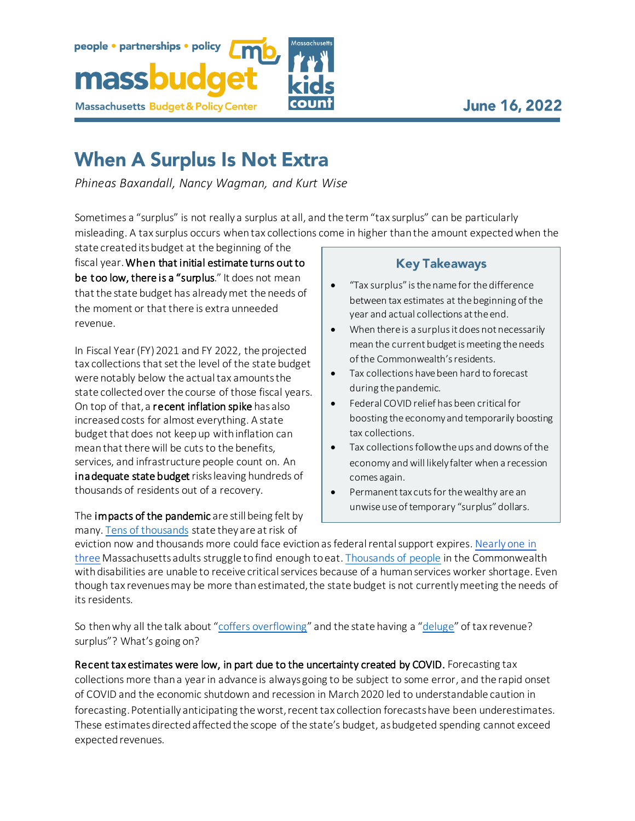

## people · partnerships · policy massbud **Massachusetts Budget & Policy Center**

## **When A Surplus Is Not Extra**

*Phineas Baxandall, Nancy Wagman, and Kurt Wise*

Sometimes a "surplus" is not really a surplus at all, and the term "tax surplus" can be particularly misleading. A tax surplus occurs when tax collections come in higher than the amount expectedwhen the

state created its budget at the beginning of the fiscal year. When that initial estimate turns out to be too low, there is a "surplus." It does not mean that the state budget has already met the needs of the moment or that there is extra unneeded revenue.

In Fiscal Year (FY) 2021 and FY 2022, the projected tax collections that set the level of the state budget were notably below the actual tax amounts the state collected over the course of those fiscal years. On top of that, a recent inflation spike has also increased costs for almost everything. A state budget that does not keep up with inflation can mean that there will be cuts to the benefits, services, and infrastructure people count on. An **inadequate state budget** risks leaving hundreds of thousands of residents out of a recovery.

The impacts of the pandemic are still being felt by many. Tens of thousands state they are at risk of

## **Key Takeaways**

- "Tax surplus" is the name for the difference between tax estimates at the beginning of the year and actual collections at the end.
- When there is a surplus it does not necessarily mean the current budget is meeting the needs of the Commonwealth's residents.
- Tax collections have been hard to forecast during the pandemic.
- Federal COVID relief has been critical for boosting the economy and temporarily boosting tax collections.
- Tax collections follow the ups and downs of the economy and will likely falter when a recession comes again.
- Permanent tax cuts for the wealthy are an unwise use of temporary "surplus" dollars.

eviction now and thousands more could face eviction as federal rental support expires. Nearly one in three Massachusetts adults struggle tofind enough to eat. Thousands of people in the Commonwealth with disabilities are unable to receive critical services because of a human services worker shortage. Even though tax revenues may be more than estimated, the state budget is not currently meeting the needs of its residents.

So then why all the talk about "coffers overflowing" and the state having a "deluge" of tax revenue? surplus"? What's going on?

Recent tax estimates were low, in part due to the uncertainty created by COVID. Forecasting tax collections more than a year in advance is always going to be subject to some error, and the rapid onset of COVID and the economic shutdown and recession in March 2020 led to understandable caution in forecasting. Potentially anticipating the worst, recent tax collection forecasts have been underestimates. These estimates directed affected the scope of the state's budget, as budgeted spending cannot exceed expected revenues.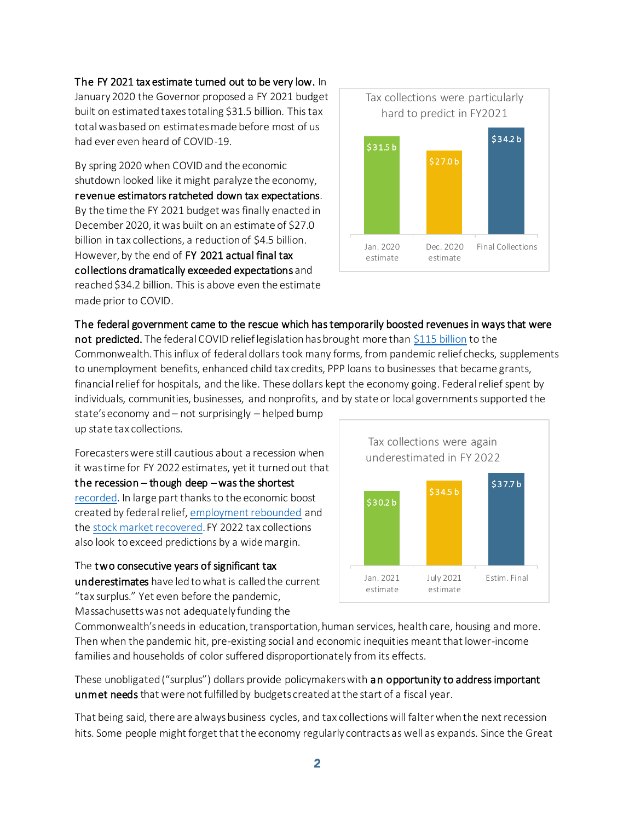## The FY 2021 tax estimate turned out to be very low. In

January 2020 the Governor proposed a FY 2021 budget built on estimated taxes totaling \$31.5 billion. This tax total was based on estimates made before most of us had ever even heard of COVID-19.

By spring 2020 when COVID and the economic shutdown looked like it might paralyze the economy, revenue estimators ratcheted down tax expectations. By the time the FY 2021 budget was finally enacted in December 2020, it was built on an estimate of \$27.0 billion in tax collections, a reduction of \$4.5 billion. However, by the end of FY 2021 actual final tax collections dramatically exceeded expectations and reached \$34.2 billion. This is above even the estimate made prior to COVID.



The federal government came to the rescue which has temporarily boosted revenues in ways that were not predicted. The federal COVID relief legislation has brought more tha[n \\$115 billion](https://massbudget.org/2022/02/02/at-a-crossroads/#part5) to the Commonwealth. This influx of federal dollars took many forms, from pandemic relief checks, supplements to unemployment benefits, enhanced child tax credits, PPP loans to businesses that became grants, financial relief for hospitals, and the like. These dollars kept the economy going. Federal relief spent by individuals, communities, businesses, and nonprofits, and by state or local governments supported the

state's economy and – not surprisingly – helped bump up state tax collections.

Forecasters were still cautious about a recession when it was time for FY 2022 estimates, yet it turned out that the recession – though deep – was the shortest [recorded.](https://www.nber.org/research/data/us-business-cycle-expansions-and-contractions) In large part thanks to the economic boost created by federal relief[, employment rebounded](https://fred.stlouisfed.org/series/MAUR) and th[e stock market recovered.](https://fred.stlouisfed.org/series/SP500)FY 2022 tax collections also look to exceed predictions by a wide margin.

The two consecutive years of significant tax underestimates have led to what is called the current "tax surplus." Yet even before the pandemic, Massachusetts was not adequately funding the



Commonwealth's needs in education, transportation, human services, health care, housing and more. Then when the pandemic hit, pre-existing social and economic inequities meant that lower-income families and households of color suffered disproportionately from its effects.

These unobligated ("surplus") dollars provide policymakers with an opportunity to address important unmet needs that were not fulfilled by budgets created at the start of a fiscal year.

That being said, there are always business cycles, and tax collections will falter when the next recession hits. Some people might forget that the economy regularly contracts as well as expands. Since the Great